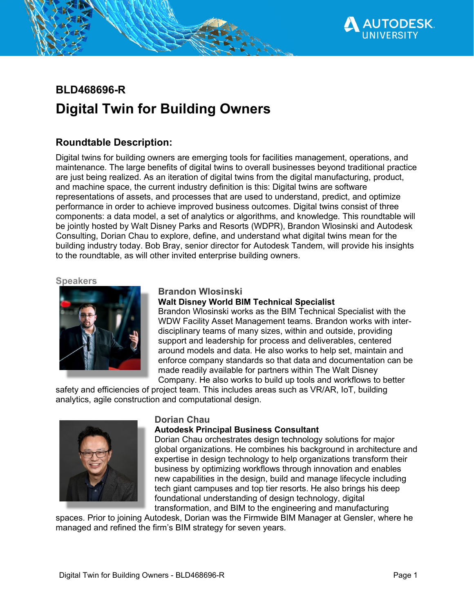

# **BLD468696-R Digital Twin for Building Owners**

# **Roundtable Description:**

Digital twins for building owners are emerging tools for facilities management, operations, and maintenance. The large benefits of digital twins to overall businesses beyond traditional practice are just being realized. As an iteration of digital twins from the digital manufacturing, product, and machine space, the current industry definition is this: Digital twins are software representations of assets, and processes that are used to understand, predict, and optimize performance in order to achieve improved business outcomes. Digital twins consist of three components: a data model, a set of analytics or algorithms, and knowledge. This roundtable will be jointly hosted by Walt Disney Parks and Resorts (WDPR), Brandon Wlosinski and Autodesk Consulting, Dorian Chau to explore, define, and understand what digital twins mean for the building industry today. Bob Bray, senior director for Autodesk Tandem, will provide his insights to the roundtable, as will other invited enterprise building owners.

**Speakers**



### **Brandon Wlosinski**

### **Walt Disney World BIM Technical Specialist**

Brandon Wlosinski works as the BIM Technical Specialist with the WDW Facility Asset Management teams. Brandon works with interdisciplinary teams of many sizes, within and outside, providing support and leadership for process and deliverables, centered around models and data. He also works to help set, maintain and enforce company standards so that data and documentation can be made readily available for partners within The Walt Disney Company. He also works to build up tools and workflows to better

safety and efficiencies of project team. This includes areas such as VR/AR, IoT, building analytics, agile construction and computational design.



### **Dorian Chau**

### **Autodesk Principal Business Consultant**

Dorian Chau orchestrates design technology solutions for major global organizations. He combines his background in architecture and expertise in design technology to help organizations transform their business by optimizing workflows through innovation and enables new capabilities in the design, build and manage lifecycle including tech giant campuses and top tier resorts. He also brings his deep foundational understanding of design technology, digital transformation, and BIM to the engineering and manufacturing

spaces. Prior to joining Autodesk, Dorian was the Firmwide BIM Manager at Gensler, where he managed and refined the firm's BIM strategy for seven years.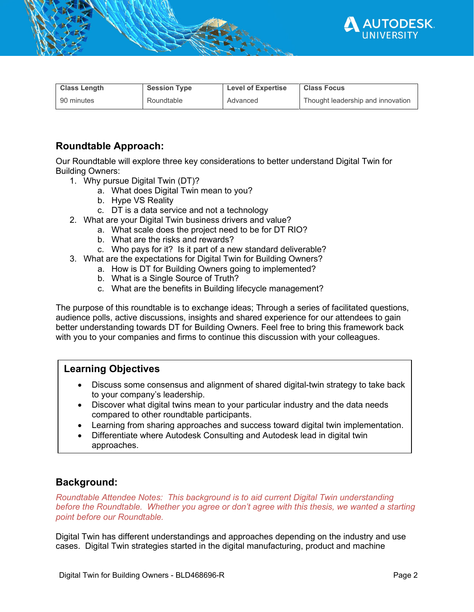

| <b>Class Length</b> | <b>Session Type</b> | <b>Level of Expertise</b> | <b>Class Focus</b>                |
|---------------------|---------------------|---------------------------|-----------------------------------|
| 90 minutes          | Roundtable          | Advanced                  | Thought leadership and innovation |

# **Roundtable Approach:**

Our Roundtable will explore three key considerations to better understand Digital Twin for Building Owners:

- 1. Why pursue Digital Twin (DT)?
	- a. What does Digital Twin mean to you?
	- b. Hype VS Reality
	- c. DT is a data service and not a technology
- 2. What are your Digital Twin business drivers and value?
	- a. What scale does the project need to be for DT RIO?
	- b. What are the risks and rewards?
	- c. Who pays for it? Is it part of a new standard deliverable?
- 3. What are the expectations for Digital Twin for Building Owners?
	- a. How is DT for Building Owners going to implemented?
	- b. What is a Single Source of Truth?
	- c. What are the benefits in Building lifecycle management?

The purpose of this roundtable is to exchange ideas; Through a series of facilitated questions, audience polls, active discussions, insights and shared experience for our attendees to gain better understanding towards DT for Building Owners. Feel free to bring this framework back with you to your companies and firms to continue this discussion with your colleagues.

## **Learning Objectives**

- Discuss some consensus and alignment of shared digital-twin strategy to take back to your company's leadership.
- Discover what digital twins mean to your particular industry and the data needs compared to other roundtable participants.
- Learning from sharing approaches and success toward digital twin implementation.
- Differentiate where Autodesk Consulting and Autodesk lead in digital twin approaches.

### **Background:**

*Roundtable Attendee Notes: This background is to aid current Digital Twin understanding before the Roundtable. Whether you agree or don't agree with this thesis, we wanted a starting point before our Roundtable.* 

Digital Twin has different understandings and approaches depending on the industry and use cases. Digital Twin strategies started in the digital manufacturing, product and machine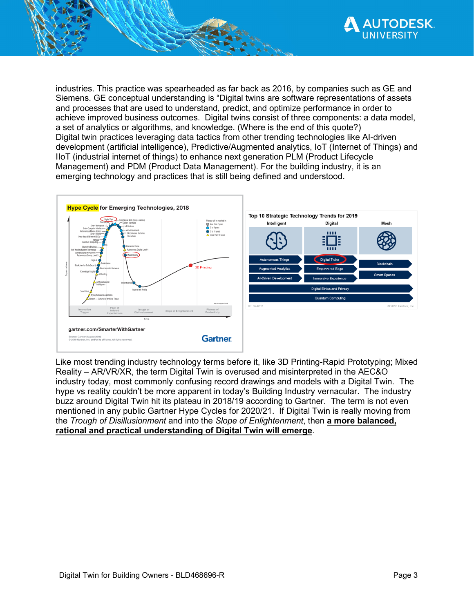

industries. This practice was spearheaded as far back as 2016, by companies such as GE and Siemens. GE conceptual understanding is "Digital twins are software representations of assets and processes that are used to understand, predict, and optimize performance in order to achieve improved business outcomes. Digital twins consist of three components: a data model, a set of analytics or algorithms, and knowledge. (Where is the end of this quote?) Digital twin practices leveraging data tactics from other trending technologies like AI-driven development (artificial intelligence), Predictive/Augmented analytics, IoT (Internet of Things) and IIoT (industrial internet of things) to enhance next generation PLM (Product Lifecycle Management) and PDM (Product Data Management). For the building industry, it is an emerging technology and practices that is still being defined and understood.



Like most trending industry technology terms before it, like 3D Printing-Rapid Prototyping; Mixed Reality – AR/VR/XR, the term Digital Twin is overused and misinterpreted in the AEC&O industry today, most commonly confusing record drawings and models with a Digital Twin. The hype vs reality couldn't be more apparent in today's Building Industry vernacular. The industry buzz around Digital Twin hit its plateau in 2018/19 according to Gartner. The term is not even mentioned in any public Gartner Hype Cycles for 2020/21. If Digital Twin is really moving from the *Trough of Disillusionment* and into the *Slope of Enlightenment*, then **a more balanced, rational and practical understanding of Digital Twin will emerge**.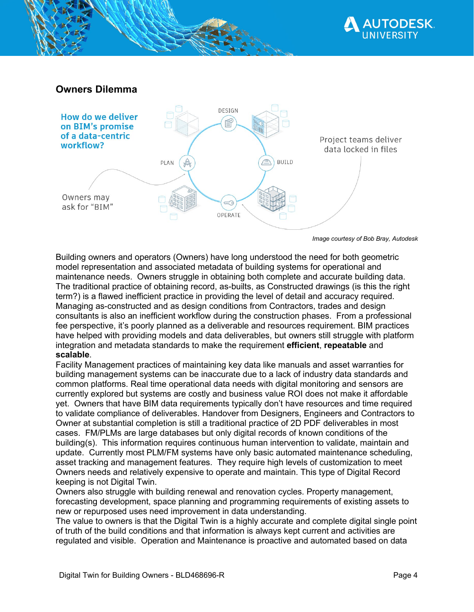



*Image courtesy of Bob Bray, Autodesk*

Building owners and operators (Owners) have long understood the need for both geometric model representation and associated metadata of building systems for operational and maintenance needs. Owners struggle in obtaining both complete and accurate building data. The traditional practice of obtaining record, as-builts, as Constructed drawings (is this the right term?) is a flawed inefficient practice in providing the level of detail and accuracy required. Managing as-constructed and as design conditions from Contractors, trades and design consultants is also an inefficient workflow during the construction phases. From a professional fee perspective, it's poorly planned as a deliverable and resources requirement. BIM practices have helped with providing models and data deliverables, but owners still struggle with platform integration and metadata standards to make the requirement **efficient**, **repeatable** and **scalable**.

Facility Management practices of maintaining key data like manuals and asset warranties for building management systems can be inaccurate due to a lack of industry data standards and common platforms. Real time operational data needs with digital monitoring and sensors are currently explored but systems are costly and business value ROI does not make it affordable yet. Owners that have BIM data requirements typically don't have resources and time required to validate compliance of deliverables. Handover from Designers, Engineers and Contractors to Owner at substantial completion is still a traditional practice of 2D PDF deliverables in most cases. FM/PLMs are large databases but only digital records of known conditions of the building(s). This information requires continuous human intervention to validate, maintain and update. Currently most PLM/FM systems have only basic automated maintenance scheduling, asset tracking and management features. They require high levels of customization to meet Owners needs and relatively expensive to operate and maintain. This type of Digital Record keeping is not Digital Twin.

Owners also struggle with building renewal and renovation cycles. Property management, forecasting development, space planning and programming requirements of existing assets to new or repurposed uses need improvement in data understanding.

The value to owners is that the Digital Twin is a highly accurate and complete digital single point of truth of the build conditions and that information is always kept current and activities are regulated and visible. Operation and Maintenance is proactive and automated based on data